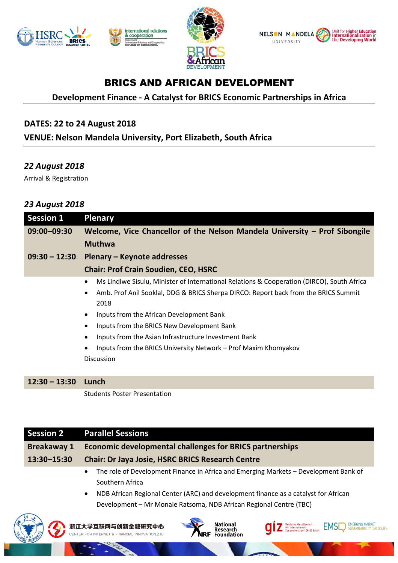







# BRICS AND AFRICAN DEVELOPMENT

# **Development Finance - A Catalyst for BRICS Economic Partnerships in Africa**

## **DATES: 22 to 24 August 2018**

**VENUE: Nelson Mandela University, Port Elizabeth, South Africa**

## *22 August 2018*

Arrival & Registration

## *23 August 2018*

| <b>Session 1</b> | <b>Plenary</b>                                                                                                                                                                                                                                                                                                                                                                                                                                                                                |
|------------------|-----------------------------------------------------------------------------------------------------------------------------------------------------------------------------------------------------------------------------------------------------------------------------------------------------------------------------------------------------------------------------------------------------------------------------------------------------------------------------------------------|
| 09:00-09:30      | Welcome, Vice Chancellor of the Nelson Mandela University - Prof Sibongile                                                                                                                                                                                                                                                                                                                                                                                                                    |
|                  | <b>Muthwa</b>                                                                                                                                                                                                                                                                                                                                                                                                                                                                                 |
| $09:30 - 12:30$  | Plenary – Keynote addresses                                                                                                                                                                                                                                                                                                                                                                                                                                                                   |
|                  | <b>Chair: Prof Crain Soudien, CEO, HSRC</b>                                                                                                                                                                                                                                                                                                                                                                                                                                                   |
|                  | Ms Lindiwe Sisulu, Minister of International Relations & Cooperation (DIRCO), South Africa<br>$\bullet$<br>Amb. Prof Anil Sooklal, DDG & BRICS Sherpa DIRCO: Report back from the BRICS Summit<br>$\bullet$<br>2018<br>Inputs from the African Development Bank<br>$\bullet$<br>Inputs from the BRICS New Development Bank<br>$\bullet$<br>Inputs from the Asian Infrastructure Investment Bank<br>$\bullet$<br>Inputs from the BRICS University Network – Prof Maxim Khomyakov<br>Discussion |
| $12:30 - 13:30$  | Lunch                                                                                                                                                                                                                                                                                                                                                                                                                                                                                         |
|                  | <b>Students Poster Presentation</b>                                                                                                                                                                                                                                                                                                                                                                                                                                                           |

| <b>Session 2</b>   | <b>Parallel Sessions</b>                                                                                                                                                                                                                                             |
|--------------------|----------------------------------------------------------------------------------------------------------------------------------------------------------------------------------------------------------------------------------------------------------------------|
| <b>Breakaway 1</b> | <b>Economic developmental challenges for BRICS partnerships</b>                                                                                                                                                                                                      |
| 13:30-15:30        | <b>Chair: Dr Jaya Josie, HSRC BRICS Research Centre</b>                                                                                                                                                                                                              |
|                    | The role of Development Finance in Africa and Emerging Markets - Development Bank of<br>Southern Africa<br>NDB African Regional Center (ARC) and development finance as a catalyst for African<br>Development - Mr Monale Ratsoma, NDB African Regional Centre (TBC) |
|                    | Nationa<br>浙江大学互联网与创新金融研究中心                                                                                                                                                                                                                                          |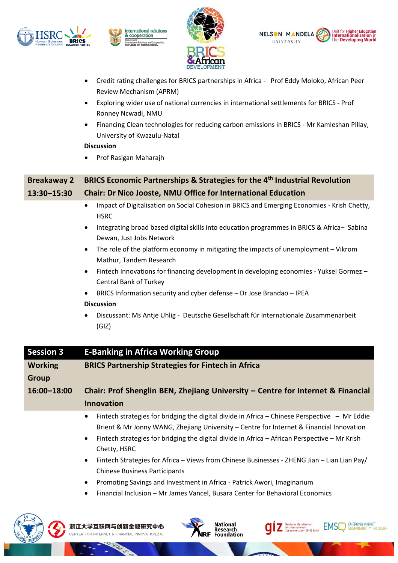







- Credit rating challenges for BRICS partnerships in Africa Prof Eddy Moloko, African Peer Review Mechanism (APRM)
- Exploring wider use of national currencies in international settlements for BRICS Prof Ronney Ncwadi, NMU
- Financing Clean technologies for reducing carbon emissions in BRICS Mr Kamleshan Pillay, University of Kwazulu-Natal

#### **Discussion**

• Prof Rasigan Maharajh

# **Breakaway 2 BRICS Economic Partnerships & Strategies for the 4th Industrial Revolution 13:30–15:30 Chair: Dr Nico Jooste, NMU Office for International Education**

- Impact of Digitalisation on Social Cohesion in BRICS and Emerging Economies Krish Chetty, **HSRC**
- Integrating broad based digital skills into education programmes in BRICS & Africa– Sabina Dewan, Just Jobs Network
- The role of the platform economy in mitigating the impacts of unemployment Vikrom Mathur, Tandem Research
- Fintech Innovations for financing development in developing economies Yuksel Gormez Central Bank of Turkey
- BRICS Information security and cyber defense Dr Jose Brandao IPEA

#### **Discussion**

• Discussant: Ms Antje Uhlig - Deutsche Gesellschaft für Internationale Zusammenarbeit (GIZ)

### **Session 3 E-Banking in Africa Working Group Working Group BRICS Partnership Strategies for Fintech in Africa 16:00–18:00 Chair: Prof Shenglin BEN, Zhejiang University – Centre for Internet & Financial Innovation**

- Fintech strategies for bridging the digital divide in Africa Chinese Perspective Mr Eddie Brient & Mr Jonny WANG, Zhejiang University – Centre for Internet & Financial Innovation
- Fintech strategies for bridging the digital divide in Africa African Perspective Mr Krish Chetty, HSRC
- Fintech Strategies for Africa Views from Chinese Businesses ZHENG Jian Lian Lian Pay/ Chinese Business Participants

Deutsche Gesellschaft<br>für Internationale<br>Zusammenarbeit (GIZ)

ite<br>if (GIZ) Gmh

**EMERGING MARKET** 

SUSTAINABILITY DIALOGUES

**EMSI** 

- Promoting Savings and Investment in Africa Patrick Awori, Imaginarium
- Financial Inclusion Mr James Vancel, Busara Center for Behavioral Economics



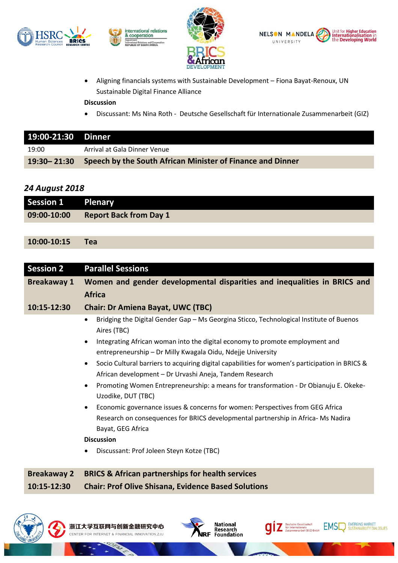







• Aligning financials systems with Sustainable Development – Fiona Bayat-Renoux, UN Sustainable Digital Finance Alliance

**Discussion**

• Discussant: Ms Nina Roth - Deutsche Gesellschaft für Internationale Zusammenarbeit (GIZ)

| 19:00-21:30 Dinner |                                                            |
|--------------------|------------------------------------------------------------|
| 19:00              | Arrival at Gala Dinner Venue                               |
| $19:30 - 21:30$    | Speech by the South African Minister of Finance and Dinner |

## *24 August 2018*

| Session 1 Plenary |                               |
|-------------------|-------------------------------|
| 09:00-10:00       | <b>Report Back from Day 1</b> |
|                   |                               |

## **10:00-10:15 Tea**

| <b>Session 2</b>   | <b>Parallel Sessions</b>                                                                                                                                               |
|--------------------|------------------------------------------------------------------------------------------------------------------------------------------------------------------------|
| <b>Breakaway 1</b> | Women and gender developmental disparities and inequalities in BRICS and                                                                                               |
|                    | <b>Africa</b>                                                                                                                                                          |
| 10:15-12:30        | <b>Chair: Dr Amiena Bayat, UWC (TBC)</b>                                                                                                                               |
|                    | Bridging the Digital Gender Gap - Ms Georgina Sticco, Technological Institute of Buenos<br>٠<br>Aires (TBC)                                                            |
|                    | Integrating African woman into the digital economy to promote employment and<br>$\bullet$<br>entrepreneurship - Dr Milly Kwagala Oidu, Ndejje University               |
|                    | Socio Cultural barriers to acquiring digital capabilities for women's participation in BRICS &<br>$\bullet$<br>African development – Dr Urvashi Aneja, Tandem Research |
|                    | Promoting Women Entrepreneurship: a means for transformation - Dr Obianuju E. Okeke-<br>$\bullet$<br>Uzodike, DUT (TBC)                                                |
|                    | Economic governance issues & concerns for women: Perspectives from GEG Africa<br>$\bullet$                                                                             |
|                    | Research on consequences for BRICS developmental partnership in Africa-Ms Nadira                                                                                       |
|                    | Bayat, GEG Africa                                                                                                                                                      |
|                    | <b>Discussion</b>                                                                                                                                                      |
|                    | Discussant: Prof Joleen Steyn Kotze (TBC)<br>٠                                                                                                                         |
|                    |                                                                                                                                                                        |
| <b>Breakaway 2</b> | <b>BRICS &amp; African partnerships for health services</b>                                                                                                            |
| 10:15-12:30        | <b>Chair: Prof Olive Shisana, Evidence Based Solutions</b>                                                                                                             |









BIERGING MARKET

**EMSI**